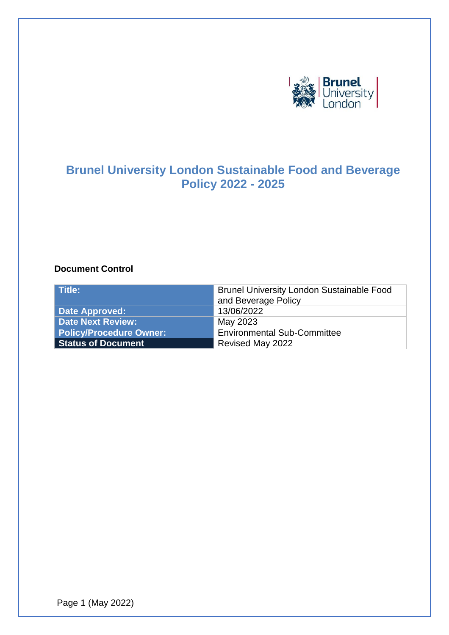

# **Brunel University London Sustainable Food and Beverage Policy 2022 - 2025**

#### **Document Control**

| Title:                         | <b>Brunel University London Sustainable Food</b><br>and Beverage Policy |
|--------------------------------|-------------------------------------------------------------------------|
| <b>Date Approved:</b>          | 13/06/2022                                                              |
| <b>Date Next Review:</b>       | May 2023                                                                |
| <b>Policy/Procedure Owner:</b> | <b>Environmental Sub-Committee</b>                                      |
| <b>Status of Document</b>      | Revised May 2022                                                        |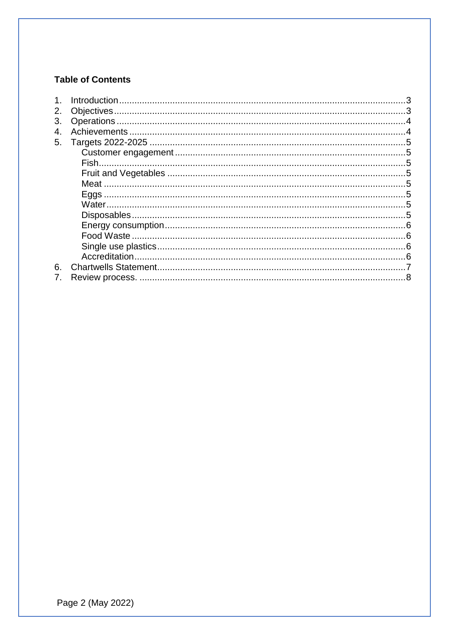# **Table of Contents**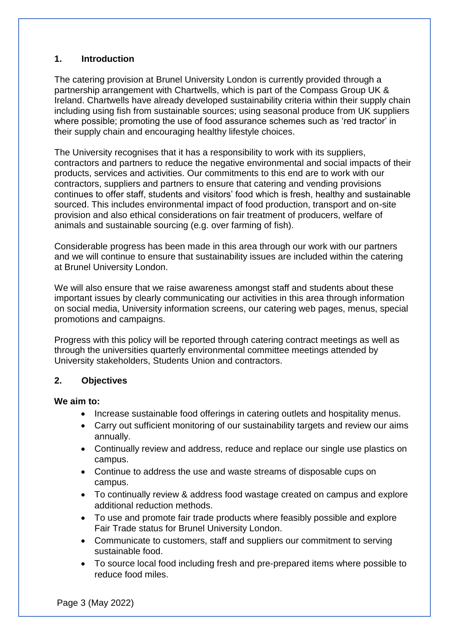### <span id="page-2-0"></span>**1. Introduction**

The catering provision at Brunel University London is currently provided through a partnership arrangement with Chartwells, which is part of the Compass Group UK & Ireland. Chartwells have already developed sustainability criteria within their supply chain including using fish from sustainable sources; using seasonal produce from UK suppliers where possible; promoting the use of food assurance schemes such as 'red tractor' in their supply chain and encouraging healthy lifestyle choices.

The University recognises that it has a responsibility to work with its suppliers, contractors and partners to reduce the negative environmental and social impacts of their products, services and activities. Our commitments to this end are to work with our contractors, suppliers and partners to ensure that catering and vending provisions continues to offer staff, students and visitors' food which is fresh, healthy and sustainable sourced. This includes environmental impact of food production, transport and on-site provision and also ethical considerations on fair treatment of producers, welfare of animals and sustainable sourcing (e.g. over farming of fish).

Considerable progress has been made in this area through our work with our partners and we will continue to ensure that sustainability issues are included within the catering at Brunel University London.

We will also ensure that we raise awareness amongst staff and students about these important issues by clearly communicating our activities in this area through information on social media, University information screens, our catering web pages, menus, special promotions and campaigns.

Progress with this policy will be reported through catering contract meetings as well as through the universities quarterly environmental committee meetings attended by University stakeholders, Students Union and contractors.

### <span id="page-2-1"></span>**2. Objectives**

#### **We aim to:**

- Increase sustainable food offerings in catering outlets and hospitality menus.
- Carry out sufficient monitoring of our sustainability targets and review our aims annually.
- Continually review and address, reduce and replace our single use plastics on campus.
- Continue to address the use and waste streams of disposable cups on campus.
- To continually review & address food wastage created on campus and explore additional reduction methods.
- To use and promote fair trade products where feasibly possible and explore Fair Trade status for Brunel University London.
- Communicate to customers, staff and suppliers our commitment to serving sustainable food.
- To source local food including fresh and pre-prepared items where possible to reduce food miles.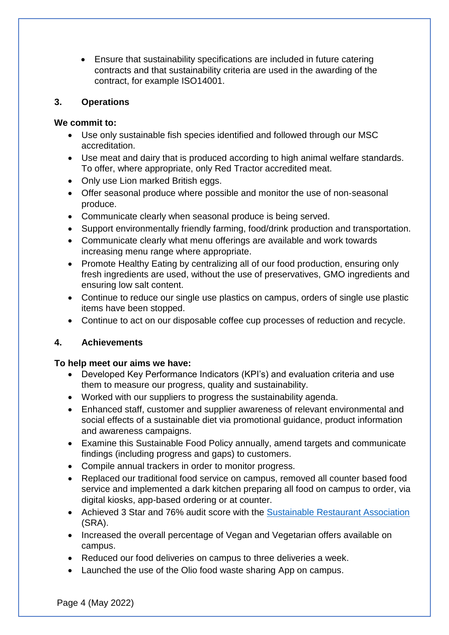• Ensure that sustainability specifications are included in future catering contracts and that sustainability criteria are used in the awarding of the contract, for example ISO14001.

#### <span id="page-3-0"></span>**3. Operations**

### **We commit to:**

- Use only sustainable fish species identified and followed through our MSC accreditation.
- Use meat and dairy that is produced according to high animal welfare standards. To offer, where appropriate, only Red Tractor accredited meat.
- Only use Lion marked British eggs.
- Offer seasonal produce where possible and monitor the use of non‐seasonal produce.
- Communicate clearly when seasonal produce is being served.
- Support environmentally friendly farming, food/drink production and transportation.
- Communicate clearly what menu offerings are available and work towards increasing menu range where appropriate.
- Promote Healthy Eating by centralizing all of our food production, ensuring only fresh ingredients are used, without the use of preservatives, GMO ingredients and ensuring low salt content.
- Continue to reduce our single use plastics on campus, orders of single use plastic items have been stopped.
- Continue to act on our disposable coffee cup processes of reduction and recycle.

### <span id="page-3-1"></span>**4. Achievements**

### **To help meet our aims we have:**

- Developed Key Performance Indicators (KPI's) and evaluation criteria and use them to measure our progress, quality and sustainability.
- Worked with our suppliers to progress the sustainability agenda.
- Enhanced staff, customer and supplier awareness of relevant environmental and social effects of a sustainable diet via promotional guidance, product information and awareness campaigns.
- Examine this Sustainable Food Policy annually, amend targets and communicate findings (including progress and gaps) to customers.
- Compile annual trackers in order to monitor progress.
- Replaced our traditional food service on campus, removed all counter based food service and implemented a dark kitchen preparing all food on campus to order, via digital kiosks, app-based ordering or at counter.
- Achieved 3 Star and 76% audit score with the [Sustainable Restaurant Association](https://thesra.org/) (SRA).
- Increased the overall percentage of Vegan and Vegetarian offers available on campus.
- Reduced our food deliveries on campus to three deliveries a week.
- Launched the use of the Olio food waste sharing App on campus.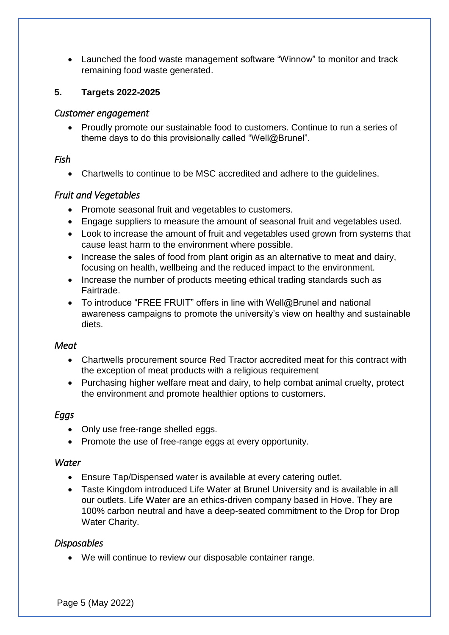• Launched the food waste management software "Winnow" to monitor and track remaining food waste generated.

# <span id="page-4-1"></span><span id="page-4-0"></span>**5. Targets 2022-2025**

# *Customer engagement*

• Proudly promote our sustainable food to customers. Continue to run a series of theme days to do this provisionally called "Well@Brunel".

# <span id="page-4-2"></span>*Fish*

• Chartwells to continue to be MSC accredited and adhere to the guidelines.

# <span id="page-4-3"></span>*Fruit and Vegetables*

- Promote seasonal fruit and vegetables to customers.
- Engage suppliers to measure the amount of seasonal fruit and vegetables used.
- Look to increase the amount of fruit and vegetables used grown from systems that cause least harm to the environment where possible.
- Increase the sales of food from plant origin as an alternative to meat and dairy, focusing on health, wellbeing and the reduced impact to the environment.
- Increase the number of products meeting ethical trading standards such as Fairtrade.
- To introduce "FREE FRUIT" offers in line with Well@Brunel and national awareness campaigns to promote the university's view on healthy and sustainable diets.

# <span id="page-4-4"></span>*Meat*

- Chartwells procurement source Red Tractor accredited meat for this contract with the exception of meat products with a religious requirement
- Purchasing higher welfare meat and dairy, to help combat animal cruelty, protect the environment and promote healthier options to customers.

# <span id="page-4-5"></span>*Eggs*

- Only use free-range shelled eggs.
- Promote the use of free-range eggs at every opportunity.

### <span id="page-4-6"></span>*Water*

- Ensure Tap/Dispensed water is available at every catering outlet.
- Taste Kingdom introduced Life Water at Brunel University and is available in all our outlets. Life Water are an ethics‐driven company based in Hove. They are 100% carbon neutral and have a deep‐seated commitment to the Drop for Drop Water Charity.

# <span id="page-4-7"></span>*Disposables*

• We will continue to review our disposable container range.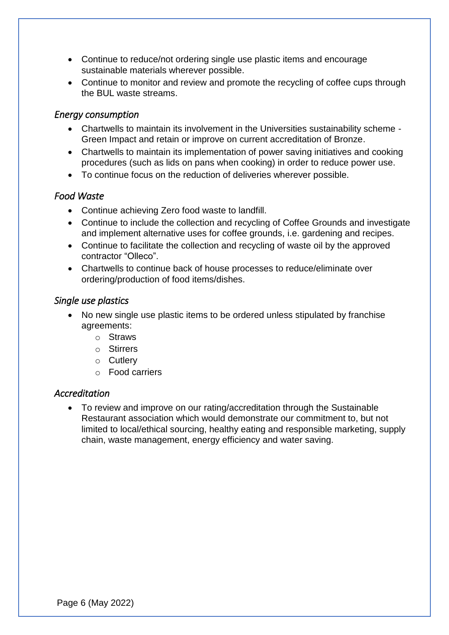- Continue to reduce/not ordering single use plastic items and encourage sustainable materials wherever possible.
- Continue to monitor and review and promote the recycling of coffee cups through the BUL waste streams.

# <span id="page-5-0"></span>*Energy consumption*

- Chartwells to maintain its involvement in the Universities sustainability scheme Green Impact and retain or improve on current accreditation of Bronze.
- Chartwells to maintain its implementation of power saving initiatives and cooking procedures (such as lids on pans when cooking) in order to reduce power use.
- To continue focus on the reduction of deliveries wherever possible.

# <span id="page-5-1"></span>*Food Waste*

- Continue achieving Zero food waste to landfill.
- Continue to include the collection and recycling of Coffee Grounds and investigate and implement alternative uses for coffee grounds, i.e. gardening and recipes.
- Continue to facilitate the collection and recycling of waste oil by the approved contractor "Olleco".
- Chartwells to continue back of house processes to reduce/eliminate over ordering/production of food items/dishes.

# <span id="page-5-2"></span>*Single use plastics*

- No new single use plastic items to be ordered unless stipulated by franchise agreements:
	- o Straws
	- o Stirrers
	- o Cutlery
	- o Food carriers

### <span id="page-5-3"></span>*Accreditation*

<span id="page-5-4"></span>• To review and improve on our rating/accreditation through the Sustainable Restaurant association which would demonstrate our commitment to, but not limited to local/ethical sourcing, healthy eating and responsible marketing, supply chain, waste management, energy efficiency and water saving.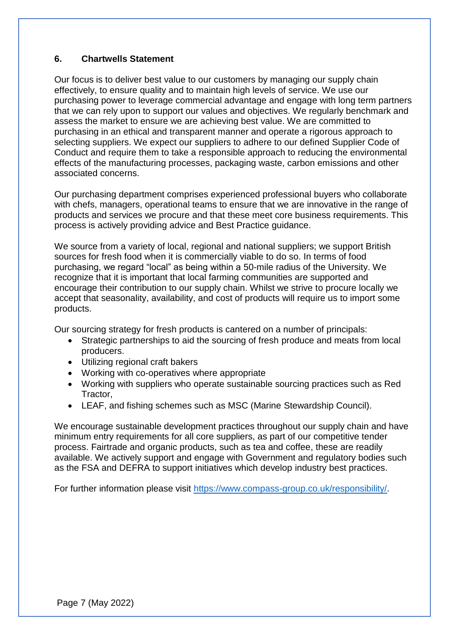### **6. Chartwells Statement**

Our focus is to deliver best value to our customers by managing our supply chain effectively, to ensure quality and to maintain high levels of service. We use our purchasing power to leverage commercial advantage and engage with long term partners that we can rely upon to support our values and objectives. We regularly benchmark and assess the market to ensure we are achieving best value. We are committed to purchasing in an ethical and transparent manner and operate a rigorous approach to selecting suppliers. We expect our suppliers to adhere to our defined Supplier Code of Conduct and require them to take a responsible approach to reducing the environmental effects of the manufacturing processes, packaging waste, carbon emissions and other associated concerns.

Our purchasing department comprises experienced professional buyers who collaborate with chefs, managers, operational teams to ensure that we are innovative in the range of products and services we procure and that these meet core business requirements. This process is actively providing advice and Best Practice guidance.

We source from a variety of local, regional and national suppliers; we support British sources for fresh food when it is commercially viable to do so. In terms of food purchasing, we regard "local" as being within a 50-mile radius of the University. We recognize that it is important that local farming communities are supported and encourage their contribution to our supply chain. Whilst we strive to procure locally we accept that seasonality, availability, and cost of products will require us to import some products.

Our sourcing strategy for fresh products is cantered on a number of principals:

- Strategic partnerships to aid the sourcing of fresh produce and meats from local producers.
- Utilizing regional craft bakers
- Working with co‐operatives where appropriate
- Working with suppliers who operate sustainable sourcing practices such as Red Tractor,
- LEAF, and fishing schemes such as MSC (Marine Stewardship Council).

We encourage sustainable development practices throughout our supply chain and have minimum entry requirements for all core suppliers, as part of our competitive tender process. Fairtrade and organic products, such as tea and coffee, these are readily available. We actively support and engage with Government and regulatory bodies such as the FSA and DEFRA to support initiatives which develop industry best practices.

<span id="page-6-0"></span>For further information please visit [https://www.compass-group.co.uk/responsibility/.](https://www.compass-group.co.uk/responsibility/)